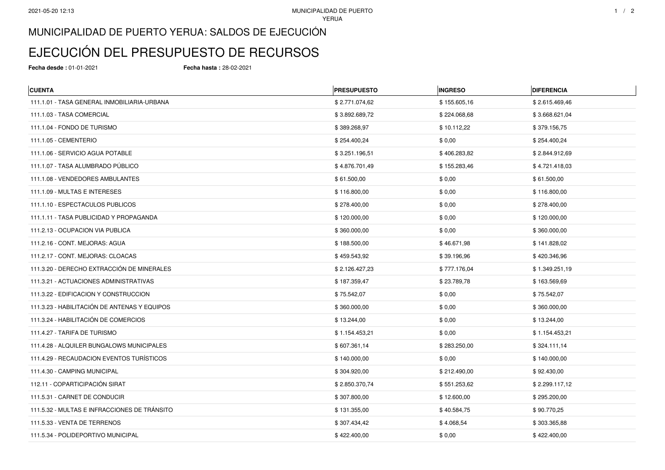## MUNICIPALIDAD DE PUERTO YERUA: SALDOS DE EJECUCIÓN

## EJECUCIÓN DEL PRESUPUESTO DE RECURSOS

**Fecha desde :** 01-01-2021 **Fecha hasta :** 28-02-2021

| <b>CUENTA</b>                                | <b>PRESUPUESTO</b> | <b>INGRESO</b> | <b>DIFERENCIA</b> |
|----------------------------------------------|--------------------|----------------|-------------------|
| 111.1.01 - TASA GENERAL INMOBILIARIA-URBANA  | \$2.771.074,62     | \$155.605,16   | \$2.615.469,46    |
| 111.1.03 - TASA COMERCIAL                    | \$3.892.689,72     | \$224.068,68   | \$3.668.621,04    |
| 111.1.04 - FONDO DE TURISMO                  | \$389.268,97       | \$10.112,22    | \$379.156,75      |
| 111.1.05 - CEMENTERIO                        | \$254.400,24       | \$0,00         | \$254.400,24      |
| 111.1.06 - SERVICIO AGUA POTABLE             | \$3.251.196,51     | \$406.283,82   | \$2.844.912,69    |
| 111.1.07 - TASA ALUMBRADO PÚBLICO            | \$4.876.701,49     | \$155.283,46   | \$4.721.418,03    |
| 111.1.08 - VENDEDORES AMBULANTES             | \$61.500,00        | \$0,00         | \$61.500,00       |
| 111.1.09 - MULTAS E INTERESES                | \$116.800,00       | \$0,00         | \$116.800,00      |
| 111.1.10 - ESPECTACULOS PUBLICOS             | \$278.400,00       | \$0,00         | \$278.400,00      |
| 111.1.11 - TASA PUBLICIDAD Y PROPAGANDA      | \$120.000,00       | \$0,00         | \$120.000,00      |
| 111.2.13 - OCUPACION VIA PUBLICA             | \$360.000,00       | \$0,00         | \$360.000,00      |
| 111.2.16 - CONT. MEJORAS: AGUA               | \$188.500,00       | \$46.671,98    | \$141.828,02      |
| 111.2.17 - CONT. MEJORAS: CLOACAS            | \$459.543,92       | \$39.196,96    | \$420.346,96      |
| 111.3.20 - DERECHO EXTRACCIÓN DE MINERALES   | \$2.126.427,23     | \$777.176,04   | \$1.349.251,19    |
| 111.3.21 - ACTUACIONES ADMINISTRATIVAS       | \$187.359,47       | \$23.789,78    | \$163.569,69      |
| 111.3.22 - EDIFICACION Y CONSTRUCCION        | \$75.542,07        | \$0,00         | \$75.542,07       |
| 111.3.23 - HABILITACIÓN DE ANTENAS Y EQUIPOS | \$360.000,00       | \$0,00         | \$360.000,00      |
| 111.3.24 - HABILITACIÓN DE COMERCIOS         | \$13.244,00        | \$0,00         | \$13.244,00       |
| 111.4.27 - TARIFA DE TURISMO                 | \$1.154.453,21     | \$0,00         | \$1.154.453,21    |
| 111.4.28 - ALQUILER BUNGALOWS MUNICIPALES    | \$607.361,14       | \$283.250,00   | \$324.111,14      |
| 111.4.29 - RECAUDACION EVENTOS TURÍSTICOS    | \$140.000,00       | \$0,00         | \$140.000,00      |
| 111.4.30 - CAMPING MUNICIPAL                 | \$304.920,00       | \$212.490,00   | \$92.430,00       |
| 112.11 - COPARTICIPACIÓN SIRAT               | \$2.850.370,74     | \$551.253,62   | \$2.299.117,12    |
| 111.5.31 - CARNET DE CONDUCIR                | \$307.800,00       | \$12.600,00    | \$295.200,00      |
| 111.5.32 - MULTAS E INFRACCIONES DE TRÁNSITO | \$131.355,00       | \$40.584,75    | \$90.770,25       |
| 111.5.33 - VENTA DE TERRENOS                 | \$307.434,42       | \$4.068,54     | \$303.365,88      |
| 111.5.34 - POLIDEPORTIVO MUNICIPAL           | \$422.400,00       | \$0,00         | \$422.400,00      |